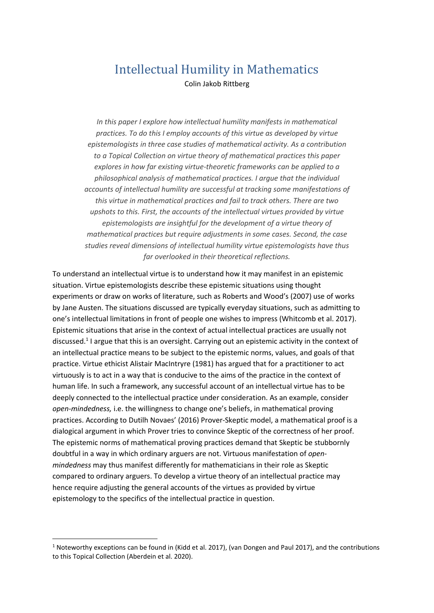## Intellectual Humility in Mathematics Colin Jakob Rittberg

*In this paper I explore how intellectual humility manifests in mathematical practices. To do this I employ accounts of this virtue as developed by virtue epistemologists in three case studies of mathematical activity. As a contribution to a Topical Collection on virtue theory of mathematical practices this paper explores in how far existing virtue-theoretic frameworks can be applied to a philosophical analysis of mathematical practices. I argue that the individual accounts of intellectual humility are successful at tracking some manifestations of this virtue in mathematical practices and fail to track others. There are two upshots to this. First, the accounts of the intellectual virtues provided by virtue epistemologists are insightful for the development of a virtue theory of mathematical practices but require adjustments in some cases. Second, the case studies reveal dimensions of intellectual humility virtue epistemologists have thus far overlooked in their theoretical reflections.* 

To understand an intellectual virtue is to understand how it may manifest in an epistemic situation. Virtue epistemologists describe these epistemic situations using thought experiments or draw on works of literature, such as Roberts and Wood's (2007) use of works by Jane Austen. The situations discussed are typically everyday situations, such as admitting to one's intellectual limitations in front of people one wishes to impress (Whitcomb et al. 2017). Epistemic situations that arise in the context of actual intellectual practices are usually not discussed.<sup>1</sup> I argue that this is an oversight. Carrying out an epistemic activity in the context of an intellectual practice means to be subject to the epistemic norms, values, and goals of that practice. Virtue ethicist Alistair MacIntryre (1981) has argued that for a practitioner to act virtuously is to act in a way that is conducive to the aims of the practice in the context of human life. In such a framework, any successful account of an intellectual virtue has to be deeply connected to the intellectual practice under consideration. As an example, consider *open-mindedness,* i.e. the willingness to change one's beliefs, in mathematical proving practices. According to Dutilh Novaes' (2016) Prover-Skeptic model, a mathematical proof is a dialogical argument in which Prover tries to convince Skeptic of the correctness of her proof. The epistemic norms of mathematical proving practices demand that Skeptic be stubbornly doubtful in a way in which ordinary arguers are not. Virtuous manifestation of *openmindedness* may thus manifest differently for mathematicians in their role as Skeptic compared to ordinary arguers. To develop a virtue theory of an intellectual practice may hence require adjusting the general accounts of the virtues as provided by virtue epistemology to the specifics of the intellectual practice in question.

 $1$  Noteworthy exceptions can be found in (Kidd et al. 2017), (van Dongen and Paul 2017), and the contributions to this Topical Collection (Aberdein et al. 2020).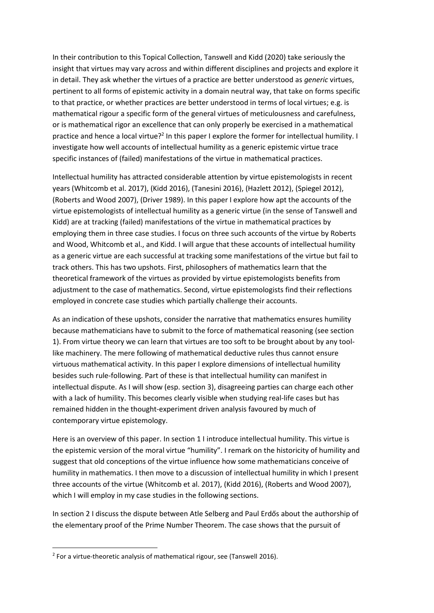In their contribution to this Topical Collection, Tanswell and Kidd (2020) take seriously the insight that virtues may vary across and within different disciplines and projects and explore it in detail. They ask whether the virtues of a practice are better understood as *generic* virtues, pertinent to all forms of epistemic activity in a domain neutral way, that take on forms specific to that practice, or whether practices are better understood in terms of local virtues; e.g. is mathematical rigour a specific form of the general virtues of meticulousness and carefulness, or is mathematical rigor an excellence that can only properly be exercised in a mathematical practice and hence a local virtue?<sup>2</sup> In this paper I explore the former for intellectual humility. I investigate how well accounts of intellectual humility as a generic epistemic virtue trace specific instances of (failed) manifestations of the virtue in mathematical practices.

Intellectual humility has attracted considerable attention by virtue epistemologists in recent years (Whitcomb et al. 2017), (Kidd 2016), (Tanesini 2016), (Hazlett 2012), (Spiegel 2012), (Roberts and Wood 2007), (Driver 1989). In this paper I explore how apt the accounts of the virtue epistemologists of intellectual humility as a generic virtue (in the sense of Tanswell and Kidd) are at tracking (failed) manifestations of the virtue in mathematical practices by employing them in three case studies. I focus on three such accounts of the virtue by Roberts and Wood, Whitcomb et al., and Kidd. I will argue that these accounts of intellectual humility as a generic virtue are each successful at tracking some manifestations of the virtue but fail to track others. This has two upshots. First, philosophers of mathematics learn that the theoretical framework of the virtues as provided by virtue epistemologists benefits from adjustment to the case of mathematics. Second, virtue epistemologists find their reflections employed in concrete case studies which partially challenge their accounts.

As an indication of these upshots, consider the narrative that mathematics ensures humility because mathematicians have to submit to the force of mathematical reasoning (see section 1). From virtue theory we can learn that virtues are too soft to be brought about by any toollike machinery. The mere following of mathematical deductive rules thus cannot ensure virtuous mathematical activity. In this paper I explore dimensions of intellectual humility besides such rule-following. Part of these is that intellectual humility can manifest in intellectual dispute. As I will show (esp. section 3), disagreeing parties can charge each other with a lack of humility. This becomes clearly visible when studying real-life cases but has remained hidden in the thought-experiment driven analysis favoured by much of contemporary virtue epistemology.

Here is an overview of this paper. In section 1 I introduce intellectual humility. This virtue is the epistemic version of the moral virtue "humility". I remark on the historicity of humility and suggest that old conceptions of the virtue influence how some mathematicians conceive of humility in mathematics. I then move to a discussion of intellectual humility in which I present three accounts of the virtue (Whitcomb et al. 2017), (Kidd 2016), (Roberts and Wood 2007), which I will employ in my case studies in the following sections.

In section 2 I discuss the dispute between Atle Selberg and Paul Erdős about the authorship of the elementary proof of the Prime Number Theorem. The case shows that the pursuit of

<sup>&</sup>lt;sup>2</sup> For a virtue-theoretic analysis of mathematical rigour, see (Tanswell 2016).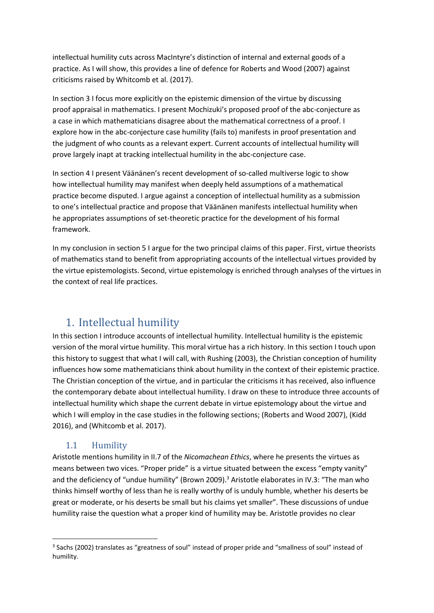intellectual humility cuts across MacIntyre's distinction of internal and external goods of a practice. As I will show, this provides a line of defence for Roberts and Wood (2007) against criticisms raised by Whitcomb et al. (2017).

In section 3 I focus more explicitly on the epistemic dimension of the virtue by discussing proof appraisal in mathematics. I present Mochizuki's proposed proof of the abc-conjecture as a case in which mathematicians disagree about the mathematical correctness of a proof. I explore how in the abc-conjecture case humility (fails to) manifests in proof presentation and the judgment of who counts as a relevant expert. Current accounts of intellectual humility will prove largely inapt at tracking intellectual humility in the abc-conjecture case.

In section 4 I present Väänänen's recent development of so-called multiverse logic to show how intellectual humility may manifest when deeply held assumptions of a mathematical practice become disputed. I argue against a conception of intellectual humility as a submission to one's intellectual practice and propose that Väänänen manifests intellectual humility when he appropriates assumptions of set-theoretic practice for the development of his formal framework.

In my conclusion in section 5 I argue for the two principal claims of this paper. First, virtue theorists of mathematics stand to benefit from appropriating accounts of the intellectual virtues provided by the virtue epistemologists. Second, virtue epistemology is enriched through analyses of the virtues in the context of real life practices.

# 1. Intellectual humility

In this section I introduce accounts of intellectual humility. Intellectual humility is the epistemic version of the moral virtue humility. This moral virtue has a rich history. In this section I touch upon this history to suggest that what I will call, with Rushing (2003), the Christian conception of humility influences how some mathematicians think about humility in the context of their epistemic practice. The Christian conception of the virtue, and in particular the criticisms it has received, also influence the contemporary debate about intellectual humility. I draw on these to introduce three accounts of intellectual humility which shape the current debate in virtue epistemology about the virtue and which I will employ in the case studies in the following sections; (Roberts and Wood 2007), (Kidd 2016), and (Whitcomb et al. 2017).

## 1.1 Humility

Aristotle mentions humility in II.7 of the *Nicomachean Ethics*, where he presents the virtues as means between two vices. "Proper pride" is a virtue situated between the excess "empty vanity" and the deficiency of "undue humility" (Brown 2009).<sup>3</sup> Aristotle elaborates in IV.3: "The man who thinks himself worthy of less than he is really worthy of is unduly humble, whether his deserts be great or moderate, or his deserts be small but his claims yet smaller". These discussions of undue humility raise the question what a proper kind of humility may be. Aristotle provides no clear

<sup>&</sup>lt;sup>3</sup> Sachs (2002) translates as "greatness of soul" instead of proper pride and "smallness of soul" instead of humility.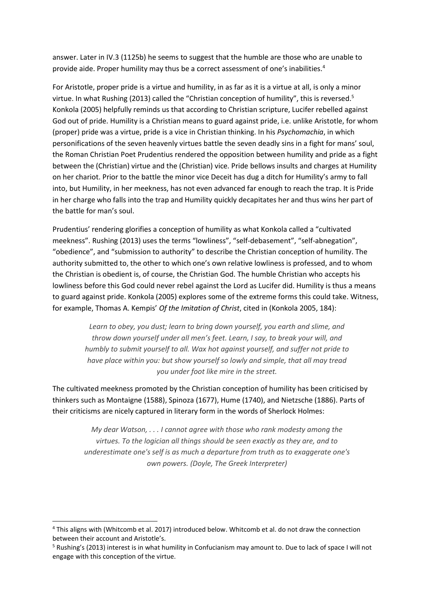answer. Later in IV.3 (1125b) he seems to suggest that the humble are those who are unable to provide aide. Proper humility may thus be a correct assessment of one's inabilities.<sup>4</sup>

For Aristotle, proper pride is a virtue and humility, in as far as it is a virtue at all, is only a minor virtue. In what Rushing (2013) called the "Christian conception of humility", this is reversed.<sup>5</sup> Konkola (2005) helpfully reminds us that according to Christian scripture, Lucifer rebelled against God out of pride. Humility is a Christian means to guard against pride, i.e. unlike Aristotle, for whom (proper) pride was a virtue, pride is a vice in Christian thinking. In his *Psychomachia*, in which personifications of the seven heavenly virtues battle the seven deadly sins in a fight for mans' soul, the Roman Christian Poet Prudentius rendered the opposition between humility and pride as a fight between the (Christian) virtue and the (Christian) vice. Pride bellows insults and charges at Humility on her chariot. Prior to the battle the minor vice Deceit has dug a ditch for Humility's army to fall into, but Humility, in her meekness, has not even advanced far enough to reach the trap. It is Pride in her charge who falls into the trap and Humility quickly decapitates her and thus wins her part of the battle for man's soul.

Prudentius' rendering glorifies a conception of humility as what Konkola called a "cultivated meekness". Rushing (2013) uses the terms "lowliness", "self-debasement", "self-abnegation", "obedience", and "submission to authority" to describe the Christian conception of humility. The authority submitted to, the other to which one's own relative lowliness is professed, and to whom the Christian is obedient is, of course, the Christian God. The humble Christian who accepts his lowliness before this God could never rebel against the Lord as Lucifer did. Humility is thus a means to guard against pride. Konkola (2005) explores some of the extreme forms this could take. Witness, for example, Thomas A. Kempis' *Of the Imitation of Christ*, cited in (Konkola 2005, 184):

*Learn to obey, you dust; learn to bring down yourself, you earth and slime, and throw down yourself under all men's feet. Learn, I say, to break your will, and humbly to submit yourself to all. Wax hot against yourself, and suffer not pride to have place within you: but show yourself so lowly and simple, that all may tread you under foot like mire in the street.*

The cultivated meekness promoted by the Christian conception of humility has been criticised by thinkers such as Montaigne (1588), Spinoza (1677), Hume (1740), and Nietzsche (1886). Parts of their criticisms are nicely captured in literary form in the words of Sherlock Holmes:

*My dear Watson, . . . I cannot agree with those who rank modesty among the virtues. To the logician all things should be seen exactly as they are, and to underestimate one's self is as much a departure from truth as to exaggerate one's own powers. (Doyle, The Greek Interpreter)*

<sup>4</sup> This aligns with (Whitcomb et al. 2017) introduced below. Whitcomb et al. do not draw the connection between their account and Aristotle's.

<sup>5</sup> Rushing's (2013) interest is in what humility in Confucianism may amount to. Due to lack of space I will not engage with this conception of the virtue.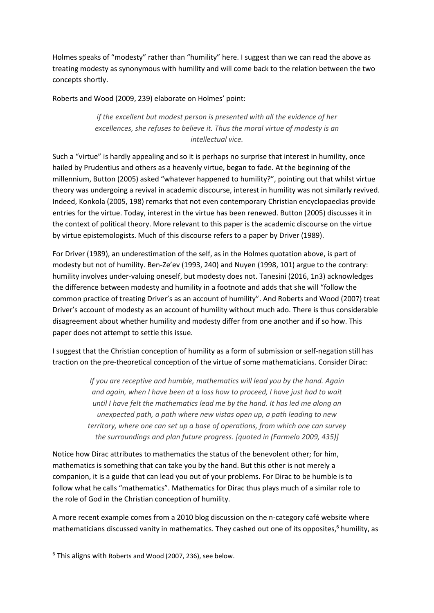Holmes speaks of "modesty" rather than "humility" here. I suggest than we can read the above as treating modesty as synonymous with humility and will come back to the relation between the two concepts shortly.

Roberts and Wood (2009, 239) elaborate on Holmes' point:

*if the excellent but modest person is presented with all the evidence of her excellences, she refuses to believe it. Thus the moral virtue of modesty is an intellectual vice.*

Such a "virtue" is hardly appealing and so it is perhaps no surprise that interest in humility, once hailed by Prudentius and others as a heavenly virtue, began to fade. At the beginning of the millennium, Button (2005) asked "whatever happened to humility?", pointing out that whilst virtue theory was undergoing a revival in academic discourse, interest in humility was not similarly revived. Indeed, Konkola (2005, 198) remarks that not even contemporary Christian encyclopaedias provide entries for the virtue. Today, interest in the virtue has been renewed. Button (2005) discusses it in the context of political theory. More relevant to this paper is the academic discourse on the virtue by virtue epistemologists. Much of this discourse refers to a paper by Driver (1989).

For Driver (1989), an underestimation of the self, as in the Holmes quotation above, is part of modesty but not of humility. Ben-Ze'ev (1993, 240) and Nuyen (1998, 101) argue to the contrary: humility involves under-valuing oneself, but modesty does not. Tanesini (2016, 1n3) acknowledges the difference between modesty and humility in a footnote and adds that she will "follow the common practice of treating Driver's as an account of humility". And Roberts and Wood (2007) treat Driver's account of modesty as an account of humility without much ado. There is thus considerable disagreement about whether humility and modesty differ from one another and if so how. This paper does not attempt to settle this issue.

I suggest that the Christian conception of humility as a form of submission or self-negation still has traction on the pre-theoretical conception of the virtue of some mathematicians. Consider Dirac:

> *If you are receptive and humble, mathematics will lead you by the hand. Again and again, when I have been at a loss how to proceed, I have just had to wait until I have felt the mathematics lead me by the hand. It has led me along an unexpected path, a path where new vistas open up, a path leading to new territory, where one can set up a base of operations, from which one can survey the surroundings and plan future progress. [quoted in (Farmelo 2009, 435)]*

Notice how Dirac attributes to mathematics the status of the benevolent other; for him, mathematics is something that can take you by the hand. But this other is not merely a companion, it is a guide that can lead you out of your problems. For Dirac to be humble is to follow what he calls "mathematics". Mathematics for Dirac thus plays much of a similar role to the role of God in the Christian conception of humility.

A more recent example comes from a 2010 blog discussion on the n-category café website where mathematicians discussed vanity in mathematics. They cashed out one of its opposites, <sup>6</sup> humility, as

<sup>6</sup> This aligns with Roberts and Wood (2007, 236), see below.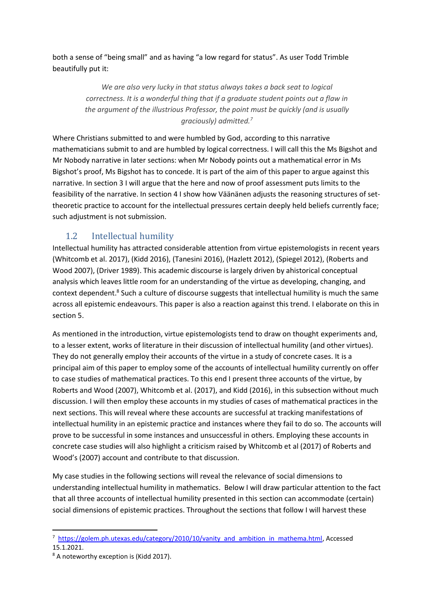both a sense of "being small" and as having "a low regard for status". As user Todd Trimble beautifully put it:

> *We are also very lucky in that status always takes a back seat to logical correctness. It is a wonderful thing that if a graduate student points out a flaw in the argument of the illustrious Professor, the point must be quickly (and is usually graciously) admitted.<sup>7</sup>*

Where Christians submitted to and were humbled by God, according to this narrative mathematicians submit to and are humbled by logical correctness. I will call this the Ms Bigshot and Mr Nobody narrative in later sections: when Mr Nobody points out a mathematical error in Ms Bigshot's proof, Ms Bigshot has to concede. It is part of the aim of this paper to argue against this narrative. In section 3 I will argue that the here and now of proof assessment puts limits to the feasibility of the narrative. In section 4 I show how Väänänen adjusts the reasoning structures of settheoretic practice to account for the intellectual pressures certain deeply held beliefs currently face; such adjustment is not submission.

## 1.2 Intellectual humility

Intellectual humility has attracted considerable attention from virtue epistemologists in recent years (Whitcomb et al. 2017), (Kidd 2016), (Tanesini 2016), (Hazlett 2012), (Spiegel 2012), (Roberts and Wood 2007), (Driver 1989). This academic discourse is largely driven by ahistorical conceptual analysis which leaves little room for an understanding of the virtue as developing, changing, and context dependent.<sup>8</sup> Such a culture of discourse suggests that intellectual humility is much the same across all epistemic endeavours. This paper is also a reaction against this trend. I elaborate on this in section 5.

As mentioned in the introduction, virtue epistemologists tend to draw on thought experiments and, to a lesser extent, works of literature in their discussion of intellectual humility (and other virtues). They do not generally employ their accounts of the virtue in a study of concrete cases. It is a principal aim of this paper to employ some of the accounts of intellectual humility currently on offer to case studies of mathematical practices. To this end I present three accounts of the virtue, by Roberts and Wood (2007), Whitcomb et al. (2017), and Kidd (2016), in this subsection without much discussion. I will then employ these accounts in my studies of cases of mathematical practices in the next sections. This will reveal where these accounts are successful at tracking manifestations of intellectual humility in an epistemic practice and instances where they fail to do so. The accounts will prove to be successful in some instances and unsuccessful in others. Employing these accounts in concrete case studies will also highlight a criticism raised by Whitcomb et al (2017) of Roberts and Wood's (2007) account and contribute to that discussion.

My case studies in the following sections will reveal the relevance of social dimensions to understanding intellectual humility in mathematics. Below I will draw particular attention to the fact that all three accounts of intellectual humility presented in this section can accommodate (certain) social dimensions of epistemic practices. Throughout the sections that follow I will harvest these

<sup>&</sup>lt;sup>7</sup> [https://golem.ph.utexas.edu/category/2010/10/vanity\\_and\\_ambition\\_in\\_mathema.html,](https://golem.ph.utexas.edu/category/2010/10/vanity_and_ambition_in_mathema.html) Accessed 15.1.2021.

<sup>8</sup> A noteworthy exception is (Kidd 2017).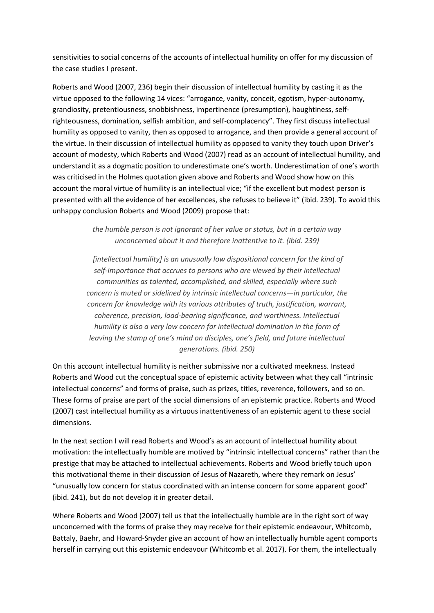sensitivities to social concerns of the accounts of intellectual humility on offer for my discussion of the case studies I present.

Roberts and Wood (2007, 236) begin their discussion of intellectual humility by casting it as the virtue opposed to the following 14 vices: "arrogance, vanity, conceit, egotism, hyper-autonomy, grandiosity, pretentiousness, snobbishness, impertinence (presumption), haughtiness, selfrighteousness, domination, selfish ambition, and self-complacency". They first discuss intellectual humility as opposed to vanity, then as opposed to arrogance, and then provide a general account of the virtue. In their discussion of intellectual humility as opposed to vanity they touch upon Driver's account of modesty, which Roberts and Wood (2007) read as an account of intellectual humility, and understand it as a dogmatic position to underestimate one's worth. Underestimation of one's worth was criticised in the Holmes quotation given above and Roberts and Wood show how on this account the moral virtue of humility is an intellectual vice; "if the excellent but modest person is presented with all the evidence of her excellences, she refuses to believe it" (ibid. 239). To avoid this unhappy conclusion Roberts and Wood (2009) propose that:

> *the humble person is not ignorant of her value or status, but in a certain way unconcerned about it and therefore inattentive to it. (ibid. 239)*

*[intellectual humility] is an unusually low dispositional concern for the kind of self-importance that accrues to persons who are viewed by their intellectual communities as talented, accomplished, and skilled, especially where such concern is muted or sidelined by intrinsic intellectual concerns—in particular, the concern for knowledge with its various attributes of truth, justification, warrant, coherence, precision, load-bearing significance, and worthiness. Intellectual humility is also a very low concern for intellectual domination in the form of leaving the stamp of one's mind on disciples, one's field, and future intellectual generations. (ibid. 250)*

On this account intellectual humility is neither submissive nor a cultivated meekness. Instead Roberts and Wood cut the conceptual space of epistemic activity between what they call "intrinsic intellectual concerns" and forms of praise, such as prizes, titles, reverence, followers, and so on. These forms of praise are part of the social dimensions of an epistemic practice. Roberts and Wood (2007) cast intellectual humility as a virtuous inattentiveness of an epistemic agent to these social dimensions.

In the next section I will read Roberts and Wood's as an account of intellectual humility about motivation: the intellectually humble are motived by "intrinsic intellectual concerns" rather than the prestige that may be attached to intellectual achievements. Roberts and Wood briefly touch upon this motivational theme in their discussion of Jesus of Nazareth, where they remark on Jesus' "unusually low concern for status coordinated with an intense concern for some apparent good" (ibid. 241), but do not develop it in greater detail.

Where Roberts and Wood (2007) tell us that the intellectually humble are in the right sort of way unconcerned with the forms of praise they may receive for their epistemic endeavour, Whitcomb, Battaly, Baehr, and Howard‐Snyder give an account of how an intellectually humble agent comports herself in carrying out this epistemic endeavour (Whitcomb et al. 2017). For them, the intellectually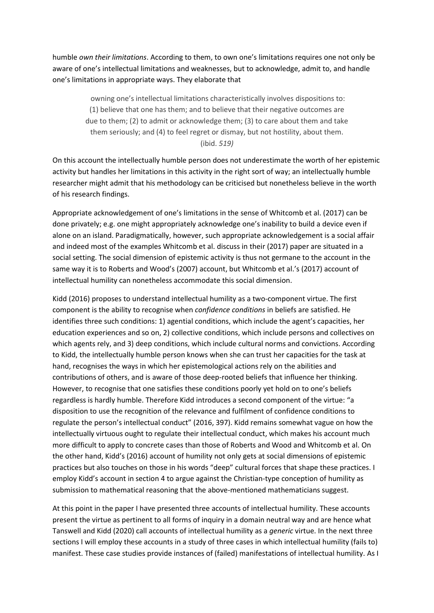humble *own their limitations*. According to them, to own one's limitations requires one not only be aware of one's intellectual limitations and weaknesses, but to acknowledge, admit to, and handle one's limitations in appropriate ways. They elaborate that

> owning one's intellectual limitations characteristically involves dispositions to: (1) believe that one has them; and to believe that their negative outcomes are due to them; (2) to admit or acknowledge them; (3) to care about them and take them seriously; and (4) to feel regret or dismay, but not hostility, about them. (ibid. *519)*

On this account the intellectually humble person does not underestimate the worth of her epistemic activity but handles her limitations in this activity in the right sort of way; an intellectually humble researcher might admit that his methodology can be criticised but nonetheless believe in the worth of his research findings.

Appropriate acknowledgement of one's limitations in the sense of Whitcomb et al. (2017) can be done privately; e.g. one might appropriately acknowledge one's inability to build a device even if alone on an island. Paradigmatically, however, such appropriate acknowledgement is a social affair and indeed most of the examples Whitcomb et al. discuss in their (2017) paper are situated in a social setting. The social dimension of epistemic activity is thus not germane to the account in the same way it is to Roberts and Wood's (2007) account, but Whitcomb et al.'s (2017) account of intellectual humility can nonetheless accommodate this social dimension.

Kidd (2016) proposes to understand intellectual humility as a two-component virtue. The first component is the ability to recognise when *confidence conditions* in beliefs are satisfied. He identifies three such conditions: 1) agential conditions, which include the agent's capacities, her education experiences and so on, 2) collective conditions, which include persons and collectives on which agents rely, and 3) deep conditions, which include cultural norms and convictions. According to Kidd, the intellectually humble person knows when she can trust her capacities for the task at hand, recognises the ways in which her epistemological actions rely on the abilities and contributions of others, and is aware of those deep-rooted beliefs that influence her thinking. However, to recognise that one satisfies these conditions poorly yet hold on to one's beliefs regardless is hardly humble. Therefore Kidd introduces a second component of the virtue: "a disposition to use the recognition of the relevance and fulfilment of confidence conditions to regulate the person's intellectual conduct" (2016, 397). Kidd remains somewhat vague on how the intellectually virtuous ought to regulate their intellectual conduct, which makes his account much more difficult to apply to concrete cases than those of Roberts and Wood and Whitcomb et al. On the other hand, Kidd's (2016) account of humility not only gets at social dimensions of epistemic practices but also touches on those in his words "deep" cultural forces that shape these practices. I employ Kidd's account in section 4 to argue against the Christian-type conception of humility as submission to mathematical reasoning that the above-mentioned mathematicians suggest.

At this point in the paper I have presented three accounts of intellectual humility. These accounts present the virtue as pertinent to all forms of inquiry in a domain neutral way and are hence what Tanswell and Kidd (2020) call accounts of intellectual humility as a *generic* virtue. In the next three sections I will employ these accounts in a study of three cases in which intellectual humility (fails to) manifest. These case studies provide instances of (failed) manifestations of intellectual humility. As I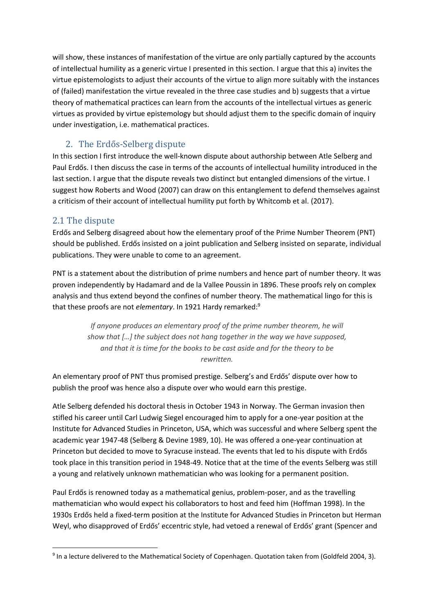will show, these instances of manifestation of the virtue are only partially captured by the accounts of intellectual humility as a generic virtue I presented in this section. I argue that this a) invites the virtue epistemologists to adjust their accounts of the virtue to align more suitably with the instances of (failed) manifestation the virtue revealed in the three case studies and b) suggests that a virtue theory of mathematical practices can learn from the accounts of the intellectual virtues as generic virtues as provided by virtue epistemology but should adjust them to the specific domain of inquiry under investigation, i.e. mathematical practices.

## 2. The Erdős-Selberg dispute

In this section I first introduce the well-known dispute about authorship between Atle Selberg and Paul Erdős. I then discuss the case in terms of the accounts of intellectual humility introduced in the last section. I argue that the dispute reveals two distinct but entangled dimensions of the virtue. I suggest how Roberts and Wood (2007) can draw on this entanglement to defend themselves against a criticism of their account of intellectual humility put forth by Whitcomb et al. (2017).

## 2.1 The dispute

Erdős and Selberg disagreed about how the elementary proof of the Prime Number Theorem (PNT) should be published. Erdős insisted on a joint publication and Selberg insisted on separate, individual publications. They were unable to come to an agreement.

PNT is a statement about the distribution of prime numbers and hence part of number theory. It was proven independently by Hadamard and de la Vallee Poussin in 1896. These proofs rely on complex analysis and thus extend beyond the confines of number theory. The mathematical lingo for this is that these proofs are not *elementary*. In 1921 Hardy remarked:<sup>9</sup>

> *If anyone produces an elementary proof of the prime number theorem, he will show that […] the subject does not hang together in the way we have supposed, and that it is time for the books to be cast aside and for the theory to be rewritten.*

An elementary proof of PNT thus promised prestige. Selberg's and Erdős' dispute over how to publish the proof was hence also a dispute over who would earn this prestige.

Atle Selberg defended his doctoral thesis in October 1943 in Norway. The German invasion then stifled his career until Carl Ludwig Siegel encouraged him to apply for a one-year position at the Institute for Advanced Studies in Princeton, USA, which was successful and where Selberg spent the academic year 1947-48 (Selberg & Devine 1989, 10). He was offered a one-year continuation at Princeton but decided to move to Syracuse instead. The events that led to his dispute with Erdős took place in this transition period in 1948-49. Notice that at the time of the events Selberg was still a young and relatively unknown mathematician who was looking for a permanent position.

Paul Erdős is renowned today as a mathematical genius, problem-poser, and as the travelling mathematician who would expect his collaborators to host and feed him (Hoffman 1998). In the 1930s Erdős held a fixed-term position at the Institute for Advanced Studies in Princeton but Herman Weyl, who disapproved of Erdős' eccentric style, had vetoed a renewal of Erdős' grant (Spencer and

<sup>&</sup>lt;sup>9</sup> In a lecture delivered to the Mathematical Society of Copenhagen. Quotation taken from (Goldfeld 2004, 3).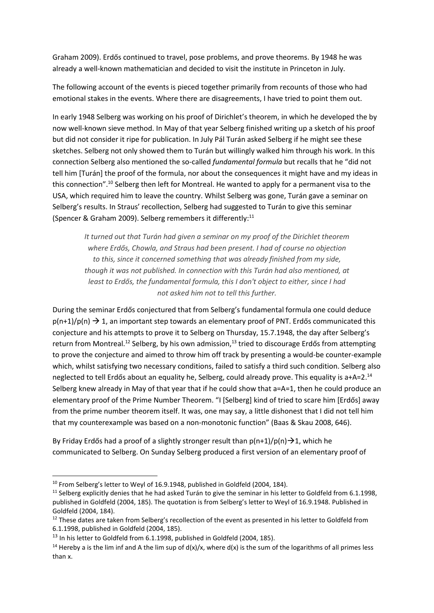Graham 2009). Erdős continued to travel, pose problems, and prove theorems. By 1948 he was already a well-known mathematician and decided to visit the institute in Princeton in July.

The following account of the events is pieced together primarily from recounts of those who had emotional stakes in the events. Where there are disagreements, I have tried to point them out.

In early 1948 Selberg was working on his proof of Dirichlet's theorem, in which he developed the by now well-known sieve method. In May of that year Selberg finished writing up a sketch of his proof but did not consider it ripe for publication. In July Pál Turán asked Selberg if he might see these sketches. Selberg not only showed them to Turán but willingly walked him through his work. In this connection Selberg also mentioned the so-called *fundamental formula* but recalls that he "did not tell him [Turán] the proof of the formula, nor about the consequences it might have and my ideas in this connection".<sup>10</sup> Selberg then left for Montreal. He wanted to apply for a permanent visa to the USA, which required him to leave the country. Whilst Selberg was gone, Turán gave a seminar on Selberg's results. In Straus' recollection, Selberg had suggested to Turán to give this seminar (Spencer & Graham 2009). Selberg remembers it differently:<sup>11</sup>

*It turned out that Turán had given a seminar on my proof of the Dirichlet theorem where Erdős, Chowla, and Straus had been present. I had of course no objection to this, since it concerned something that was already finished from my side, though it was not published. In connection with this Turán had also mentioned, at least to Erdős, the fundamental formula, this I don't object to either, since I had not asked him not to tell this further.*

During the seminar Erdős conjectured that from Selberg's fundamental formula one could deduce  $p(n+1)/p(n) \rightarrow 1$ , an important step towards an elementary proof of PNT. Erdős communicated this conjecture and his attempts to prove it to Selberg on Thursday, 15.7.1948, the day after Selberg's return from Montreal.<sup>12</sup> Selberg, by his own admission,<sup>13</sup> tried to discourage Erdős from attempting to prove the conjecture and aimed to throw him off track by presenting a would-be counter-example which, whilst satisfying two necessary conditions, failed to satisfy a third such condition. Selberg also neglected to tell Erdős about an equality he, Selberg, could already prove. This equality is a+A=2.<sup>14</sup> Selberg knew already in May of that year that if he could show that a=A=1, then he could produce an elementary proof of the Prime Number Theorem. "I [Selberg] kind of tried to scare him [Erdős] away from the prime number theorem itself. It was, one may say, a little dishonest that I did not tell him that my counterexample was based on a non-monotonic function" (Baas & Skau 2008, 646).

By Friday Erdős had a proof of a slightly stronger result than  $p(n+1)/p(n) \rightarrow 1$ , which he communicated to Selberg. On Sunday Selberg produced a first version of an elementary proof of

 $10$  From Selberg's letter to Weyl of 16.9.1948, published in Goldfeld (2004, 184).

<sup>&</sup>lt;sup>11</sup> Selberg explicitly denies that he had asked Turán to give the seminar in his letter to Goldfeld from 6.1.1998, published in Goldfeld (2004, 185). The quotation is from Selberg's letter to Weyl of 16.9.1948. Published in Goldfeld (2004, 184).

 $12$  These dates are taken from Selberg's recollection of the event as presented in his letter to Goldfeld from 6.1.1998, published in Goldfeld (2004, 185).

 $13$  In his letter to Goldfeld from 6.1.1998, published in Goldfeld (2004, 185).

<sup>&</sup>lt;sup>14</sup> Hereby a is the lim inf and A the lim sup of  $d(x)/x$ , where  $d(x)$  is the sum of the logarithms of all primes less than x.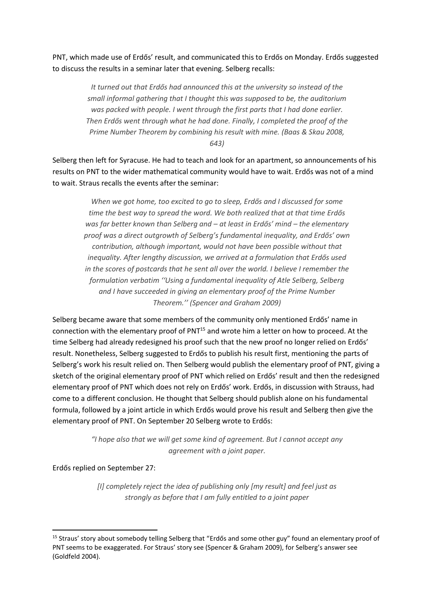PNT, which made use of Erdős' result, and communicated this to Erdős on Monday. Erdős suggested to discuss the results in a seminar later that evening. Selberg recalls:

> *It turned out that Erdős had announced this at the university so instead of the small informal gathering that I thought this was supposed to be, the auditorium was packed with people. I went through the first parts that I had done earlier. Then Erdős went through what he had done. Finally, I completed the proof of the Prime Number Theorem by combining his result with mine. (Baas & Skau 2008, 643)*

Selberg then left for Syracuse. He had to teach and look for an apartment, so announcements of his results on PNT to the wider mathematical community would have to wait. Erdős was not of a mind to wait. Straus recalls the events after the seminar:

*When we got home, too excited to go to sleep, Erdős and I discussed for some time the best way to spread the word. We both realized that at that time Erdős was far better known than Selberg and – at least in Erdős' mind – the elementary proof was a direct outgrowth of Selberg's fundamental inequality, and Erdős' own contribution, although important, would not have been possible without that inequality. After lengthy discussion, we arrived at a formulation that Erdős used in the scores of postcards that he sent all over the world. I believe I remember the formulation verbatim ''Using a fundamental inequality of Atle Selberg, Selberg and I have succeeded in giving an elementary proof of the Prime Number Theorem.'' (Spencer and Graham 2009)*

Selberg became aware that some members of the community only mentioned Erdős' name in connection with the elementary proof of PNT<sup>15</sup> and wrote him a letter on how to proceed. At the time Selberg had already redesigned his proof such that the new proof no longer relied on Erdős' result. Nonetheless, Selberg suggested to Erdős to publish his result first, mentioning the parts of Selberg's work his result relied on. Then Selberg would publish the elementary proof of PNT, giving a sketch of the original elementary proof of PNT which relied on Erdős' result and then the redesigned elementary proof of PNT which does not rely on Erdős' work. Erdős, in discussion with Strauss, had come to a different conclusion. He thought that Selberg should publish alone on his fundamental formula, followed by a joint article in which Erdős would prove his result and Selberg then give the elementary proof of PNT. On September 20 Selberg wrote to Erdős:

> *"I hope also that we will get some kind of agreement. But I cannot accept any agreement with a joint paper.*

Erdős replied on September 27:

*[I] completely reject the idea of publishing only [my result] and feel just as strongly as before that I am fully entitled to a joint paper*

<sup>&</sup>lt;sup>15</sup> Straus' story about somebody telling Selberg that "Erdős and some other guy" found an elementary proof of PNT seems to be exaggerated. For Straus' story see (Spencer & Graham 2009), for Selberg's answer see (Goldfeld 2004).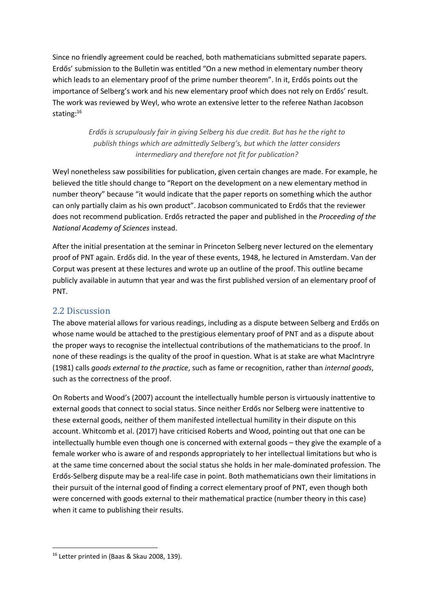Since no friendly agreement could be reached, both mathematicians submitted separate papers. Erdős' submission to the Bulletin was entitled "On a new method in elementary number theory which leads to an elementary proof of the prime number theorem". In it, Erdős points out the importance of Selberg's work and his new elementary proof which does not rely on Erdős' result. The work was reviewed by Weyl, who wrote an extensive letter to the referee Nathan Jacobson stating:<sup>16</sup>

> *Erdős is scrupulously fair in giving Selberg his due credit. But has he the right to publish things which are admittedly Selberg's, but which the latter considers intermediary and therefore not fit for publication?*

Weyl nonetheless saw possibilities for publication, given certain changes are made. For example, he believed the title should change to "Report on the development on a new elementary method in number theory" because "it would indicate that the paper reports on something which the author can only partially claim as his own product". Jacobson communicated to Erdős that the reviewer does not recommend publication. Erdős retracted the paper and published in the *Proceeding of the National Academy of Sciences* instead.

After the initial presentation at the seminar in Princeton Selberg never lectured on the elementary proof of PNT again. Erdős did. In the year of these events, 1948, he lectured in Amsterdam. Van der Corput was present at these lectures and wrote up an outline of the proof. This outline became publicly available in autumn that year and was the first published version of an elementary proof of PNT.

## 2.2 Discussion

The above material allows for various readings, including as a dispute between Selberg and Erdős on whose name would be attached to the prestigious elementary proof of PNT and as a dispute about the proper ways to recognise the intellectual contributions of the mathematicians to the proof. In none of these readings is the quality of the proof in question. What is at stake are what MacIntryre (1981) calls *goods external to the practice*, such as fame or recognition, rather than *internal goods*, such as the correctness of the proof.

On Roberts and Wood's (2007) account the intellectually humble person is virtuously inattentive to external goods that connect to social status. Since neither Erdős nor Selberg were inattentive to these external goods, neither of them manifested intellectual humility in their dispute on this account. Whitcomb et al. (2017) have criticised Roberts and Wood, pointing out that one can be intellectually humble even though one is concerned with external goods – they give the example of a female worker who is aware of and responds appropriately to her intellectual limitations but who is at the same time concerned about the social status she holds in her male-dominated profession. The Erdős-Selberg dispute may be a real-life case in point. Both mathematicians own their limitations in their pursuit of the internal good of finding a correct elementary proof of PNT, even though both were concerned with goods external to their mathematical practice (number theory in this case) when it came to publishing their results.

<sup>16</sup> Letter printed in (Baas & Skau 2008, 139).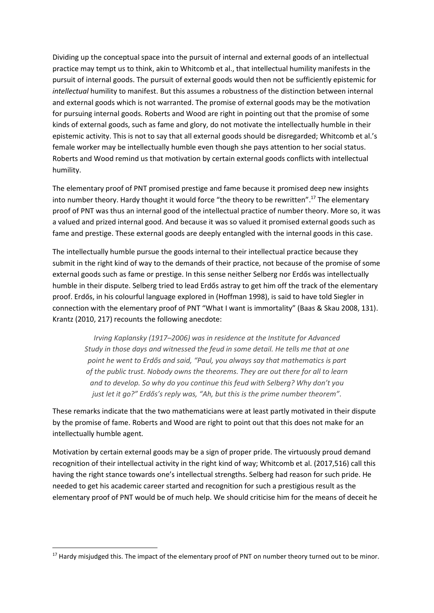Dividing up the conceptual space into the pursuit of internal and external goods of an intellectual practice may tempt us to think, akin to Whitcomb et al., that intellectual humility manifests in the pursuit of internal goods. The pursuit of external goods would then not be sufficiently epistemic for *intellectual* humility to manifest. But this assumes a robustness of the distinction between internal and external goods which is not warranted. The promise of external goods may be the motivation for pursuing internal goods. Roberts and Wood are right in pointing out that the promise of some kinds of external goods, such as fame and glory, do not motivate the intellectually humble in their epistemic activity. This is not to say that all external goods should be disregarded; Whitcomb et al.'s female worker may be intellectually humble even though she pays attention to her social status. Roberts and Wood remind us that motivation by certain external goods conflicts with intellectual humility.

The elementary proof of PNT promised prestige and fame because it promised deep new insights into number theory. Hardy thought it would force "the theory to be rewritten".<sup>17</sup> The elementary proof of PNT was thus an internal good of the intellectual practice of number theory. More so, it was a valued and prized internal good. And because it was so valued it promised external goods such as fame and prestige. These external goods are deeply entangled with the internal goods in this case.

The intellectually humble pursue the goods internal to their intellectual practice because they submit in the right kind of way to the demands of their practice, not because of the promise of some external goods such as fame or prestige. In this sense neither Selberg nor Erdős was intellectually humble in their dispute. Selberg tried to lead Erdős astray to get him off the track of the elementary proof. Erdős, in his colourful language explored in (Hoffman 1998), is said to have told Siegler in connection with the elementary proof of PNT "What I want is immortality" (Baas & Skau 2008, 131). Krantz (2010, 217) recounts the following anecdote:

*Irving Kaplansky (1917–2006) was in residence at the Institute for Advanced Study in those days and witnessed the feud in some detail. He tells me that at one point he went to Erdős and said, "Paul, you always say that mathematics is part of the public trust. Nobody owns the theorems. They are out there for all to learn and to develop. So why do you continue this feud with Selberg? Why don't you just let it go?" Erdős's reply was, "Ah, but this is the prime number theorem".*

These remarks indicate that the two mathematicians were at least partly motivated in their dispute by the promise of fame. Roberts and Wood are right to point out that this does not make for an intellectually humble agent.

Motivation by certain external goods may be a sign of proper pride. The virtuously proud demand recognition of their intellectual activity in the right kind of way; Whitcomb et al. (2017,516) call this having the right stance towards one's intellectual strengths. Selberg had reason for such pride. He needed to get his academic career started and recognition for such a prestigious result as the elementary proof of PNT would be of much help. We should criticise him for the means of deceit he

<sup>&</sup>lt;sup>17</sup> Hardy misjudged this. The impact of the elementary proof of PNT on number theory turned out to be minor.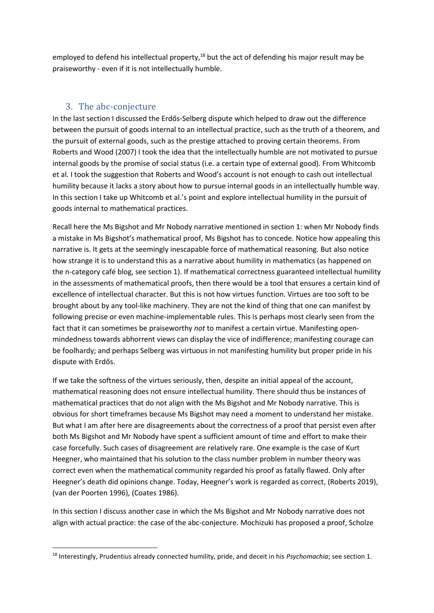employed to defend his intellectual property,<sup>18</sup> but the act of defending his major result may be praiseworthy - even if it is not intellectually humble.

## 3. The abc-conjecture

In the last section I discussed the Erdős-Selberg dispute which helped to draw out the difference between the pursuit of goods internal to an intellectual practice, such as the truth of a theorem, and the pursuit of external goods, such as the prestige attached to proving certain theorems. From Roberts and Wood (2007) I took the idea that the intellectually humble are not motivated to pursue internal goods by the promise of social status (i.e. a certain type of external good). From Whitcomb et al. I took the suggestion that Roberts and Wood's account is not enough to cash out intellectual humility because it lacks a story about how to pursue internal goods in an intellectually humble way. In this section I take up Whitcomb et al.'s point and explore intellectual humility in the pursuit of goods internal to mathematical practices.

Recall here the Ms Bigshot and Mr Nobody narrative mentioned in section 1: when Mr Nobody finds a mistake in Ms Bigshot's mathematical proof, Ms Bigshot has to concede. Notice how appealing this narrative is. It gets at the seemingly inescapable force of mathematical reasoning. But also notice how strange it is to understand this as a narrative about humility in mathematics (as happened on the n-category café blog, see section 1). If mathematical correctness guaranteed intellectual humility in the assessments of mathematical proofs, then there would be a tool that ensures a certain kind of excellence of intellectual character. But this is not how virtues function. Virtues are too soft to be brought about by any tool-like machinery. They are not the kind of thing that one can manifest by following precise or even machine-implementable rules. This is perhaps most clearly seen from the fact that it can sometimes be praiseworthy *not* to manifest a certain virtue. Manifesting openmindedness towards abhorrent views can display the vice of indifference; manifesting courage can be foolhardy; and perhaps Selberg was virtuous in not manifesting humility but proper pride in his dispute with Erdős.

If we take the softness of the virtues seriously, then, despite an initial appeal of the account, mathematical reasoning does not ensure intellectual humility. There should thus be instances of mathematical practices that do not align with the Ms Bigshot and Mr Nobody narrative. This is obvious for short timeframes because Ms Bigshot may need a moment to understand her mistake. But what I am after here are disagreements about the correctness of a proof that persist even after both Ms Bigshot and Mr Nobody have spent a sufficient amount of time and effort to make their case forcefully. Such cases of disagreement are relatively rare. One example is the case of Kurt Heegner, who maintained that his solution to the class number problem in number theory was correct even when the mathematical community regarded his proof as fatally flawed. Only after Heegner's death did opinions change. Today, Heegner's work is regarded as correct, (Roberts 2019), (van der Poorten 1996), (Coates 1986).

In this section I discuss another case in which the Ms Bigshot and Mr Nobody narrative does not align with actual practice: the case of the abc-conjecture. Mochizuki has proposed a proof, Scholze

<sup>18</sup> Interestingly, Prudentius already connected humility, pride, and deceit in his *Psychomachia*; see section 1.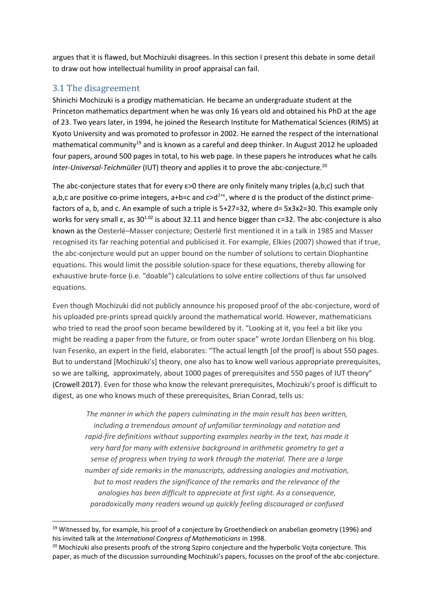argues that it is flawed, but Mochizuki disagrees. In this section I present this debate in some detail to draw out how intellectual humility in proof appraisal can fail.

## 3.1 The disagreement

Shinichi Mochizuki is a prodigy mathematician. He became an undergraduate student at the Princeton mathematics department when he was only 16 years old and obtained his PhD at the age of 23. Two years later, in 1994, he joined the Research Institute for Mathematical Sciences (RIMS) at Kyoto University and was promoted to professor in 2002. He earned the respect of the international mathematical community<sup>19</sup> and is known as a careful and deep thinker. In August 2012 he uploaded four papers, around 500 pages in total, to his web page. In these papers he introduces what he calls *Inter-Universal-Teichmüller* (IUT) theory and applies it to prove the abc-conjecture.<sup>20</sup>

The abc-conjecture states that for every  $\varepsilon > 0$  there are only finitely many triples (a,b,c) such that a,b,c are positive co-prime integers, a+b=c and  $c > d^{1+\epsilon}$ , where d is the product of the distinct primefactors of a, b, and c. An example of such a triple is 5+27=32, where d= 5x3x2=30. This example only works for very small  $\varepsilon$ , as 30<sup>1.02</sup> is about 32.11 and hence bigger than c=32. The abc-conjecture is also known as the Oesterlé–Masser conjecture; Oesterlé first mentioned it in a talk in 1985 and Masser recognised its far reaching potential and publicised it. For example, Elkies (2007) showed that if true, the abc-conjecture would put an upper bound on the number of solutions to certain Diophantine equations. This would limit the possible solution-space for these equations, thereby allowing for exhaustive brute-force (i.e. "doable") calculations to solve entire collections of thus far unsolved equations.

Even though Mochizuki did not publicly announce his proposed proof of the abc-conjecture, word of his uploaded pre-prints spread quickly around the mathematical world. However, mathematicians who tried to read the proof soon became bewildered by it. "Looking at it, you feel a bit like you might be reading a paper from the future, or from outer space" wrote Jordan Ellenberg on his blog. Ivan Fesenko, an expert in the field, elaborates: "The actual length [of the proof] is about 550 pages. But to understand [Mochizuki's] theory, one also has to know well various appropriate prerequisites, so we are talking, approximately, about 1000 pages of prerequisites and 550 pages of IUT theory" (Crowell 2017). Even for those who know the relevant prerequisites, Mochizuki's proof is difficult to digest, as one who knows much of these prerequisites, Brian Conrad, tells us:

*The manner in which the papers culminating in the main result has been written, including a tremendous amount of unfamiliar terminology and notation and rapid-fire definitions without supporting examples nearby in the text, has made it very hard for many with extensive background in arithmetic geometry to get a sense of progress when trying to work through the material. There are a large number of side remarks in the manuscripts, addressing analogies and motivation, but to most readers the significance of the remarks and the relevance of the analogies has been difficult to appreciate at first sight. As a consequence, paradoxically many readers wound up quickly feeling discouraged or confused* 

<sup>&</sup>lt;sup>19</sup> Witnessed by, for example, his proof of a conjecture by Groethendieck on anabelian geometry (1996) and his invited talk at the *International Congress of Mathematicians* in 1998.

<sup>&</sup>lt;sup>20</sup> Mochizuki also presents proofs of the strong Szpiro conjecture and the hyperbolic Vojta conjecture. This paper, as much of the discussion surrounding Mochizuki's papers, focusses on the proof of the abc-conjecture.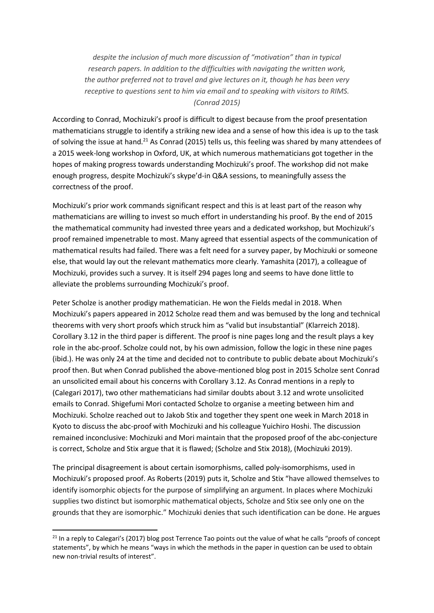*despite the inclusion of much more discussion of "motivation" than in typical research papers. In addition to the difficulties with navigating the written work, the author preferred not to travel and give lectures on it, though he has been very receptive to questions sent to him via email and to speaking with visitors to RIMS. (Conrad 2015)*

According to Conrad, Mochizuki's proof is difficult to digest because from the proof presentation mathematicians struggle to identify a striking new idea and a sense of how this idea is up to the task of solving the issue at hand.<sup>21</sup> As Conrad (2015) tells us, this feeling was shared by many attendees of a 2015 week-long workshop in Oxford, UK, at which numerous mathematicians got together in the hopes of making progress towards understanding Mochizuki's proof. The workshop did not make enough progress, despite Mochizuki's skype'd-in Q&A sessions, to meaningfully assess the correctness of the proof.

Mochizuki's prior work commands significant respect and this is at least part of the reason why mathematicians are willing to invest so much effort in understanding his proof. By the end of 2015 the mathematical community had invested three years and a dedicated workshop, but Mochizuki's proof remained impenetrable to most. Many agreed that essential aspects of the communication of mathematical results had failed. There was a felt need for a survey paper, by Mochizuki or someone else, that would lay out the relevant mathematics more clearly. Yamashita (2017), a colleague of Mochizuki, provides such a survey. It is itself 294 pages long and seems to have done little to alleviate the problems surrounding Mochizuki's proof.

Peter Scholze is another prodigy mathematician. He won the Fields medal in 2018. When Mochizuki's papers appeared in 2012 Scholze read them and was bemused by the long and technical theorems with very short proofs which struck him as "valid but insubstantial" (Klarreich 2018). Corollary 3.12 in the third paper is different. The proof is nine pages long and the result plays a key role in the abc-proof. Scholze could not, by his own admission, follow the logic in these nine pages (ibid.). He was only 24 at the time and decided not to contribute to public debate about Mochizuki's proof then. But when Conrad published the above-mentioned blog post in 2015 Scholze sent Conrad an unsolicited email about his concerns with Corollary 3.12. As Conrad mentions in a reply to (Calegari 2017), two other mathematicians had similar doubts about 3.12 and wrote unsolicited emails to Conrad. Shigefumi Mori contacted Scholze to organise a meeting between him and Mochizuki. Scholze reached out to Jakob Stix and together they spent one week in March 2018 in Kyoto to discuss the abc-proof with Mochizuki and his colleague Yuichiro Hoshi. The discussion remained inconclusive: Mochizuki and Mori maintain that the proposed proof of the abc-conjecture is correct, Scholze and Stix argue that it is flawed; (Scholze and Stix 2018), (Mochizuki 2019).

The principal disagreement is about certain isomorphisms, called poly-isomorphisms, used in Mochizuki's proposed proof. As Roberts (2019) puts it, Scholze and Stix "have allowed themselves to identify isomorphic objects for the purpose of simplifying an argument. In places where Mochizuki supplies two distinct but isomorphic mathematical objects, Scholze and Stix see only one on the grounds that they are isomorphic." Mochizuki denies that such identification can be done. He argues

<sup>&</sup>lt;sup>21</sup> In a reply to Calegari's (2017) blog post Terrence Tao points out the value of what he calls "proofs of concept statements", by which he means "ways in which the methods in the paper in question can be used to obtain new non-trivial results of interest".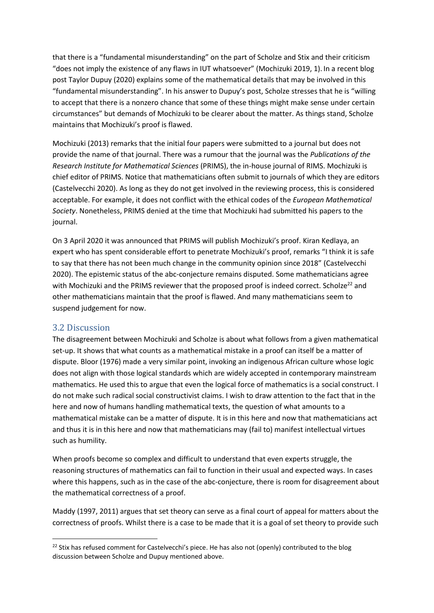that there is a "fundamental misunderstanding" on the part of Scholze and Stix and their criticism "does not imply the existence of any flaws in IUT whatsoever" (Mochizuki 2019, 1). In a recent blog post Taylor Dupuy (2020) explains some of the mathematical details that may be involved in this "fundamental misunderstanding". In his answer to Dupuy's post, Scholze stresses that he is "willing to accept that there is a nonzero chance that some of these things might make sense under certain circumstances" but demands of Mochizuki to be clearer about the matter. As things stand, Scholze maintains that Mochizuki's proof is flawed.

Mochizuki (2013) remarks that the initial four papers were submitted to a journal but does not provide the name of that journal. There was a rumour that the journal was the *Publications of the Research Institute for Mathematical Sciences* (PRIMS), the in-house journal of RIMS. Mochizuki is chief editor of PRIMS. Notice that mathematicians often submit to journals of which they are editors (Castelvecchi 2020). As long as they do not get involved in the reviewing process, this is considered acceptable. For example, it does not conflict with the ethical codes of the *European Mathematical Society*. Nonetheless, PRIMS denied at the time that Mochizuki had submitted his papers to the journal.

On 3 April 2020 it was announced that PRIMS will publish Mochizuki's proof. Kiran Kedlaya, an expert who has spent considerable effort to penetrate Mochizuki's proof, remarks "I think it is safe to say that there has not been much change in the community opinion since 2018" (Castelvecchi 2020). The epistemic status of the abc-conjecture remains disputed. Some mathematicians agree with Mochizuki and the PRIMS reviewer that the proposed proof is indeed correct. Scholze<sup>22</sup> and other mathematicians maintain that the proof is flawed. And many mathematicians seem to suspend judgement for now.

#### 3.2 Discussion

The disagreement between Mochizuki and Scholze is about what follows from a given mathematical set-up. It shows that what counts as a mathematical mistake in a proof can itself be a matter of dispute. Bloor (1976) made a very similar point, invoking an indigenous African culture whose logic does not align with those logical standards which are widely accepted in contemporary mainstream mathematics. He used this to argue that even the logical force of mathematics is a social construct. I do not make such radical social constructivist claims. I wish to draw attention to the fact that in the here and now of humans handling mathematical texts, the question of what amounts to a mathematical mistake can be a matter of dispute. It is in this here and now that mathematicians act and thus it is in this here and now that mathematicians may (fail to) manifest intellectual virtues such as humility.

When proofs become so complex and difficult to understand that even experts struggle, the reasoning structures of mathematics can fail to function in their usual and expected ways. In cases where this happens, such as in the case of the abc-conjecture, there is room for disagreement about the mathematical correctness of a proof.

Maddy (1997, 2011) argues that set theory can serve as a final court of appeal for matters about the correctness of proofs. Whilst there is a case to be made that it is a goal of set theory to provide such

 $22$  Stix has refused comment for Castelvecchi's piece. He has also not (openly) contributed to the blog discussion between Scholze and Dupuy mentioned above.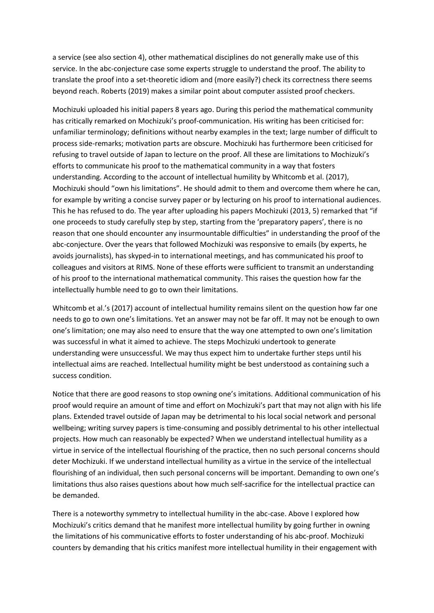a service (see also section 4), other mathematical disciplines do not generally make use of this service. In the abc-conjecture case some experts struggle to understand the proof. The ability to translate the proof into a set-theoretic idiom and (more easily?) check its correctness there seems beyond reach. Roberts (2019) makes a similar point about computer assisted proof checkers.

Mochizuki uploaded his initial papers 8 years ago. During this period the mathematical community has critically remarked on Mochizuki's proof-communication. His writing has been criticised for: unfamiliar terminology; definitions without nearby examples in the text; large number of difficult to process side-remarks; motivation parts are obscure. Mochizuki has furthermore been criticised for refusing to travel outside of Japan to lecture on the proof. All these are limitations to Mochizuki's efforts to communicate his proof to the mathematical community in a way that fosters understanding. According to the account of intellectual humility by Whitcomb et al. (2017), Mochizuki should "own his limitations". He should admit to them and overcome them where he can, for example by writing a concise survey paper or by lecturing on his proof to international audiences. This he has refused to do. The year after uploading his papers Mochizuki (2013, 5) remarked that "if one proceeds to study carefully step by step, starting from the 'preparatory papers', there is no reason that one should encounter any insurmountable difficulties" in understanding the proof of the abc-conjecture. Over the years that followed Mochizuki was responsive to emails (by experts, he avoids journalists), has skyped-in to international meetings, and has communicated his proof to colleagues and visitors at RIMS. None of these efforts were sufficient to transmit an understanding of his proof to the international mathematical community. This raises the question how far the intellectually humble need to go to own their limitations.

Whitcomb et al.'s (2017) account of intellectual humility remains silent on the question how far one needs to go to own one's limitations. Yet an answer may not be far off. It may not be enough to own one's limitation; one may also need to ensure that the way one attempted to own one's limitation was successful in what it aimed to achieve. The steps Mochizuki undertook to generate understanding were unsuccessful. We may thus expect him to undertake further steps until his intellectual aims are reached. Intellectual humility might be best understood as containing such a success condition.

Notice that there are good reasons to stop owning one's imitations. Additional communication of his proof would require an amount of time and effort on Mochizuki's part that may not align with his life plans. Extended travel outside of Japan may be detrimental to his local social network and personal wellbeing; writing survey papers is time-consuming and possibly detrimental to his other intellectual projects. How much can reasonably be expected? When we understand intellectual humility as a virtue in service of the intellectual flourishing of the practice, then no such personal concerns should deter Mochizuki. If we understand intellectual humility as a virtue in the service of the intellectual flourishing of an individual, then such personal concerns will be important. Demanding to own one's limitations thus also raises questions about how much self-sacrifice for the intellectual practice can be demanded.

There is a noteworthy symmetry to intellectual humility in the abc-case. Above I explored how Mochizuki's critics demand that he manifest more intellectual humility by going further in owning the limitations of his communicative efforts to foster understanding of his abc-proof. Mochizuki counters by demanding that his critics manifest more intellectual humility in their engagement with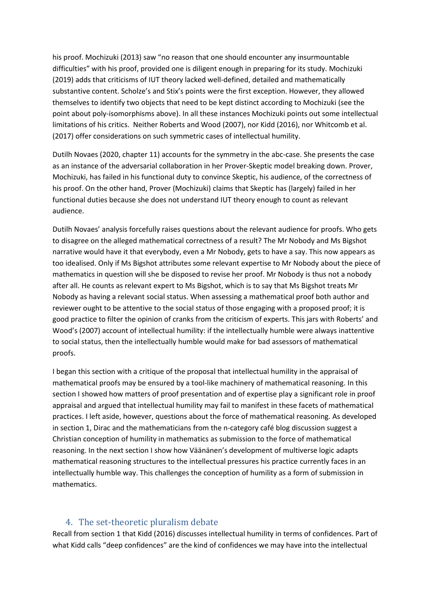his proof. Mochizuki (2013) saw "no reason that one should encounter any insurmountable difficulties" with his proof, provided one is diligent enough in preparing for its study. Mochizuki (2019) adds that criticisms of IUT theory lacked well-defined, detailed and mathematically substantive content. Scholze's and Stix's points were the first exception. However, they allowed themselves to identify two objects that need to be kept distinct according to Mochizuki (see the point about poly-isomorphisms above). In all these instances Mochizuki points out some intellectual limitations of his critics. Neither Roberts and Wood (2007), nor Kidd (2016), nor Whitcomb et al. (2017) offer considerations on such symmetric cases of intellectual humility.

Dutilh Novaes (2020, chapter 11) accounts for the symmetry in the abc-case. She presents the case as an instance of the adversarial collaboration in her Prover-Skeptic model breaking down. Prover, Mochizuki, has failed in his functional duty to convince Skeptic, his audience, of the correctness of his proof. On the other hand, Prover (Mochizuki) claims that Skeptic has (largely) failed in her functional duties because she does not understand IUT theory enough to count as relevant audience.

Dutilh Novaes' analysis forcefully raises questions about the relevant audience for proofs. Who gets to disagree on the alleged mathematical correctness of a result? The Mr Nobody and Ms Bigshot narrative would have it that everybody, even a Mr Nobody, gets to have a say. This now appears as too idealised. Only if Ms Bigshot attributes some relevant expertise to Mr Nobody about the piece of mathematics in question will she be disposed to revise her proof. Mr Nobody is thus not a nobody after all. He counts as relevant expert to Ms Bigshot, which is to say that Ms Bigshot treats Mr Nobody as having a relevant social status. When assessing a mathematical proof both author and reviewer ought to be attentive to the social status of those engaging with a proposed proof; it is good practice to filter the opinion of cranks from the criticism of experts. This jars with Roberts' and Wood's (2007) account of intellectual humility: if the intellectually humble were always inattentive to social status, then the intellectually humble would make for bad assessors of mathematical proofs.

I began this section with a critique of the proposal that intellectual humility in the appraisal of mathematical proofs may be ensured by a tool-like machinery of mathematical reasoning. In this section I showed how matters of proof presentation and of expertise play a significant role in proof appraisal and argued that intellectual humility may fail to manifest in these facets of mathematical practices. I left aside, however, questions about the force of mathematical reasoning. As developed in section 1, Dirac and the mathematicians from the n-category café blog discussion suggest a Christian conception of humility in mathematics as submission to the force of mathematical reasoning. In the next section I show how Väänänen's development of multiverse logic adapts mathematical reasoning structures to the intellectual pressures his practice currently faces in an intellectually humble way. This challenges the conception of humility as a form of submission in mathematics.

#### 4. The set-theoretic pluralism debate

Recall from section 1 that Kidd (2016) discusses intellectual humility in terms of confidences. Part of what Kidd calls "deep confidences" are the kind of confidences we may have into the intellectual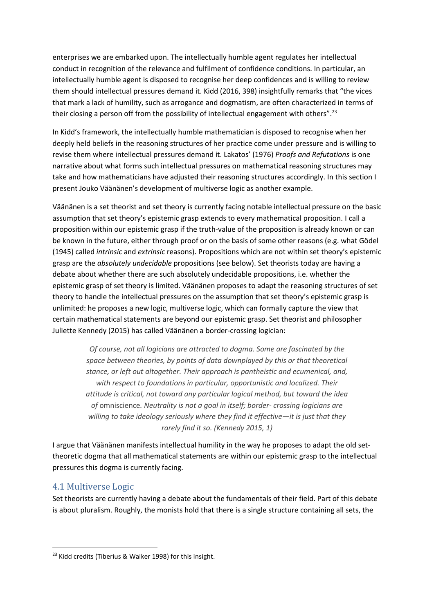enterprises we are embarked upon. The intellectually humble agent regulates her intellectual conduct in recognition of the relevance and fulfilment of confidence conditions. In particular, an intellectually humble agent is disposed to recognise her deep confidences and is willing to review them should intellectual pressures demand it. Kidd (2016, 398) insightfully remarks that "the vices that mark a lack of humility, such as arrogance and dogmatism, are often characterized in terms of their closing a person off from the possibility of intellectual engagement with others".<sup>23</sup>

In Kidd's framework, the intellectually humble mathematician is disposed to recognise when her deeply held beliefs in the reasoning structures of her practice come under pressure and is willing to revise them where intellectual pressures demand it. Lakatos' (1976) *Proofs and Refutations* is one narrative about what forms such intellectual pressures on mathematical reasoning structures may take and how mathematicians have adjusted their reasoning structures accordingly. In this section I present Jouko Väänänen's development of multiverse logic as another example.

Väänänen is a set theorist and set theory is currently facing notable intellectual pressure on the basic assumption that set theory's epistemic grasp extends to every mathematical proposition. I call a proposition within our epistemic grasp if the truth-value of the proposition is already known or can be known in the future, either through proof or on the basis of some other reasons (e.g. what Gödel (1945) called *intrinsic* and *extrinsic* reasons). Propositions which are not within set theory's epistemic grasp are the *absolutely undecidable* propositions (see below). Set theorists today are having a debate about whether there are such absolutely undecidable propositions, i.e. whether the epistemic grasp of set theory is limited. Väänänen proposes to adapt the reasoning structures of set theory to handle the intellectual pressures on the assumption that set theory's epistemic grasp is unlimited: he proposes a new logic, multiverse logic, which can formally capture the view that certain mathematical statements are beyond our epistemic grasp. Set theorist and philosopher Juliette Kennedy (2015) has called Väänänen a border-crossing logician:

> *Of course, not all logicians are attracted to dogma. Some are fascinated by the space between theories, by points of data downplayed by this or that theoretical stance, or left out altogether. Their approach is pantheistic and ecumenical, and, with respect to foundations in particular, opportunistic and localized. Their attitude is critical, not toward any particular logical method, but toward the idea of* omniscience*. Neutrality is not a goal in itself; border- crossing logicians are willing to take ideology seriously where they find it effective—it is just that they rarely find it so. (Kennedy 2015, 1)*

I argue that Väänänen manifests intellectual humility in the way he proposes to adapt the old settheoretic dogma that all mathematical statements are within our epistemic grasp to the intellectual pressures this dogma is currently facing.

#### 4.1 Multiverse Logic

Set theorists are currently having a debate about the fundamentals of their field. Part of this debate is about pluralism. Roughly, the monists hold that there is a single structure containing all sets, the

<sup>&</sup>lt;sup>23</sup> Kidd credits (Tiberius & Walker 1998) for this insight.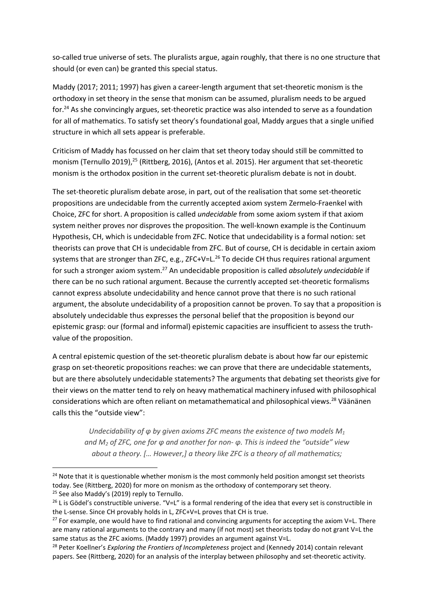so-called true universe of sets. The pluralists argue, again roughly, that there is no one structure that should (or even can) be granted this special status.

Maddy (2017; 2011; 1997) has given a career-length argument that set-theoretic monism is the orthodoxy in set theory in the sense that monism can be assumed, pluralism needs to be argued for. <sup>24</sup> As she convincingly argues, set-theoretic practice was also intended to serve as a foundation for all of mathematics. To satisfy set theory's foundational goal, Maddy argues that a single unified structure in which all sets appear is preferable.

Criticism of Maddy has focussed on her claim that set theory today should still be committed to monism (Ternullo 2019),<sup>25</sup> (Rittberg, 2016), (Antos et al. 2015). Her argument that set-theoretic monism is the orthodox position in the current set-theoretic pluralism debate is not in doubt.

The set-theoretic pluralism debate arose, in part, out of the realisation that some set-theoretic propositions are undecidable from the currently accepted axiom system Zermelo-Fraenkel with Choice, ZFC for short. A proposition is called *undecidable* from some axiom system if that axiom system neither proves nor disproves the proposition. The well-known example is the Continuum Hypothesis, CH, which is undecidable from ZFC. Notice that undecidability is a formal notion: set theorists can prove that CH is undecidable from ZFC. But of course, CH is decidable in certain axiom systems that are stronger than ZFC, e.g., ZFC+V=L.<sup>26</sup> To decide CH thus requires rational argument for such a stronger axiom system.<sup>27</sup> An undecidable proposition is called *absolutely undecidable* if there can be no such rational argument. Because the currently accepted set-theoretic formalisms cannot express absolute undecidability and hence cannot prove that there is no such rational argument, the absolute undecidability of a proposition cannot be proven. To say that a proposition is absolutely undecidable thus expresses the personal belief that the proposition is beyond our epistemic grasp: our (formal and informal) epistemic capacities are insufficient to assess the truthvalue of the proposition.

A central epistemic question of the set-theoretic pluralism debate is about how far our epistemic grasp on set-theoretic propositions reaches: we can prove that there are undecidable statements, but are there absolutely undecidable statements? The arguments that debating set theorists give for their views on the matter tend to rely on heavy mathematical machinery infused with philosophical considerations which are often reliant on metamathematical and philosophical views.<sup>28</sup> Väänänen calls this the "outside view":

*Undecidability of φ by given axioms ZFC means the existence of two models M<sup>1</sup> and M<sup>2</sup> of ZFC, one for φ and another for non- φ. This is indeed the "outside" view about a theory. [… However,] a theory like ZFC is a theory of all mathematics;* 

<sup>&</sup>lt;sup>24</sup> Note that it is questionable whether monism is the most commonly held position amongst set theorists today. See (Rittberg, 2020) for more on monism as the orthodoxy of contemporary set theory. <sup>25</sup> See also Maddy's (2019) reply to Ternullo.

 $^{26}$  L is Gödel's constructible universe. "V=L" is a formal rendering of the idea that every set is constructible in the L-sense. Since CH provably holds in L, ZFC+V=L proves that CH is true.

 $27$  For example, one would have to find rational and convincing arguments for accepting the axiom V=L. There are many rational arguments to the contrary and many (if not most) set theorists today do not grant V=L the same status as the ZFC axioms. (Maddy 1997) provides an argument against V=L.

<sup>28</sup> Peter Koellner's *Exploring the Frontiers of Incompleteness* project and (Kennedy 2014) contain relevant papers. See (Rittberg, 2020) for an analysis of the interplay between philosophy and set-theoretic activity.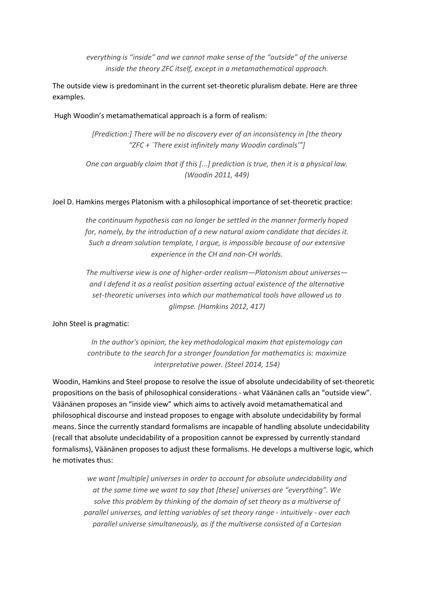*everything is "inside" and we cannot make sense of the "outside" of the universe inside the theory ZFC itself, except in a metamathematical approach.* 

The outside view is predominant in the current set-theoretic pluralism debate. Here are three examples.

#### Hugh Woodin's metamathematical approach is a form of realism:

*[Prediction:] There will be no discovery ever of an inconsistency in [the theory "ZFC + `There exist infinitely many Woodin cardinals'"]*

*One can arguably claim that if this [...] prediction is true, then it is a physical law. (Woodin 2011, 449)*

#### Joel D. Hamkins merges Platonism with a philosophical importance of set-theoretic practice:

*the continuum hypothesis can no longer be settled in the manner formerly hoped for, namely, by the introduction of a new natural axiom candidate that decides it. Such a dream solution template, I argue, is impossible because of our extensive experience in the CH and non-CH worlds.* 

*The multiverse view is one of higher-order realism—Platonism about universes and I defend it as a realist position asserting actual existence of the alternative set-theoretic universes into which our mathematical tools have allowed us to glimpse. (Hamkins 2012, 417)*

John Steel is pragmatic:

*In the author's opinion, the key methodological maxim that epistemology can contribute to the search for a stronger foundation for mathematics is: maximize interpretative power. (Steel 2014, 154)*

Woodin, Hamkins and Steel propose to resolve the issue of absolute undecidability of set-theoretic propositions on the basis of philosophical considerations - what Väänänen calls an "outside view". Väänänen proposes an "inside view" which aims to actively avoid metamathematical and philosophical discourse and instead proposes to engage with absolute undecidability by formal means. Since the currently standard formalisms are incapable of handling absolute undecidability (recall that absolute undecidability of a proposition cannot be expressed by currently standard formalisms), Väänänen proposes to adjust these formalisms. He develops a multiverse logic, which he motivates thus:

*we want [multiple] universes in order to account for absolute undecidability and at the same time we want to say that [these] universes are "everything". We solve this problem by thinking of the domain of set theory as a multiverse of parallel universes, and letting variables of set theory range - intuitively - over each parallel universe simultaneously, as if the multiverse consisted of a Cartesian*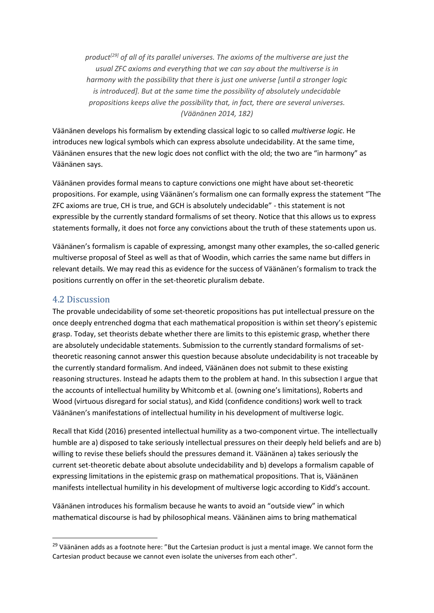*product[29] of all of its parallel universes. The axioms of the multiverse are just the usual ZFC axioms and everything that we can say about the multiverse is in harmony with the possibility that there is just one universe [until a stronger logic is introduced]. But at the same time the possibility of absolutely undecidable propositions keeps alive the possibility that, in fact, there are several universes. (Väänänen 2014, 182)*

Väänänen develops his formalism by extending classical logic to so called *multiverse logic*. He introduces new logical symbols which can express absolute undecidability. At the same time, Väänänen ensures that the new logic does not conflict with the old; the two are "in harmony" as Väänänen says.

Väänänen provides formal means to capture convictions one might have about set-theoretic propositions. For example, using Väänänen's formalism one can formally express the statement "The ZFC axioms are true, CH is true, and GCH is absolutely undecidable" - this statement is not expressible by the currently standard formalisms of set theory. Notice that this allows us to express statements formally, it does not force any convictions about the truth of these statements upon us.

Väänänen's formalism is capable of expressing, amongst many other examples, the so-called generic multiverse proposal of Steel as well as that of Woodin, which carries the same name but differs in relevant details. We may read this as evidence for the success of Väänänen's formalism to track the positions currently on offer in the set-theoretic pluralism debate.

#### 4.2 Discussion

The provable undecidability of some set-theoretic propositions has put intellectual pressure on the once deeply entrenched dogma that each mathematical proposition is within set theory's epistemic grasp. Today, set theorists debate whether there are limits to this epistemic grasp, whether there are absolutely undecidable statements. Submission to the currently standard formalisms of settheoretic reasoning cannot answer this question because absolute undecidability is not traceable by the currently standard formalism. And indeed, Väänänen does not submit to these existing reasoning structures. Instead he adapts them to the problem at hand. In this subsection I argue that the accounts of intellectual humility by Whitcomb et al. (owning one's limitations), Roberts and Wood (virtuous disregard for social status), and Kidd (confidence conditions) work well to track Väänänen's manifestations of intellectual humility in his development of multiverse logic.

Recall that Kidd (2016) presented intellectual humility as a two-component virtue. The intellectually humble are a) disposed to take seriously intellectual pressures on their deeply held beliefs and are b) willing to revise these beliefs should the pressures demand it. Väänänen a) takes seriously the current set-theoretic debate about absolute undecidability and b) develops a formalism capable of expressing limitations in the epistemic grasp on mathematical propositions. That is, Väänänen manifests intellectual humility in his development of multiverse logic according to Kidd's account.

Väänänen introduces his formalism because he wants to avoid an "outside view" in which mathematical discourse is had by philosophical means. Väänänen aims to bring mathematical

<sup>&</sup>lt;sup>29</sup> Väänänen adds as a footnote here: "But the Cartesian product is just a mental image. We cannot form the Cartesian product because we cannot even isolate the universes from each other".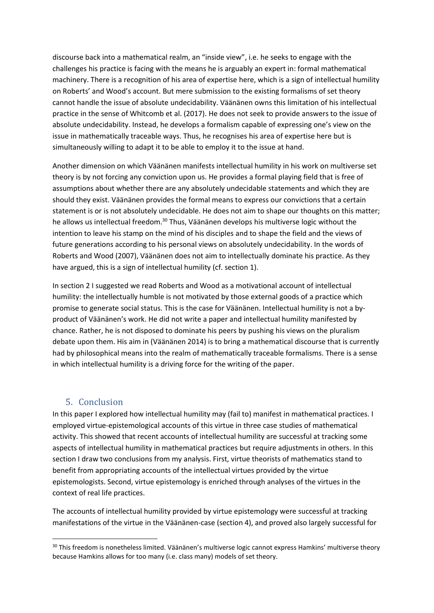discourse back into a mathematical realm, an "inside view", i.e. he seeks to engage with the challenges his practice is facing with the means he is arguably an expert in: formal mathematical machinery. There is a recognition of his area of expertise here, which is a sign of intellectual humility on Roberts' and Wood's account. But mere submission to the existing formalisms of set theory cannot handle the issue of absolute undecidability. Väänänen owns this limitation of his intellectual practice in the sense of Whitcomb et al. (2017). He does not seek to provide answers to the issue of absolute undecidability. Instead, he develops a formalism capable of expressing one's view on the issue in mathematically traceable ways. Thus, he recognises his area of expertise here but is simultaneously willing to adapt it to be able to employ it to the issue at hand.

Another dimension on which Väänänen manifests intellectual humility in his work on multiverse set theory is by not forcing any conviction upon us. He provides a formal playing field that is free of assumptions about whether there are any absolutely undecidable statements and which they are should they exist. Väänänen provides the formal means to express our convictions that a certain statement is or is not absolutely undecidable. He does not aim to shape our thoughts on this matter; he allows us intellectual freedom.<sup>30</sup> Thus, Väänänen develops his multiverse logic without the intention to leave his stamp on the mind of his disciples and to shape the field and the views of future generations according to his personal views on absolutely undecidability. In the words of Roberts and Wood (2007), Väänänen does not aim to intellectually dominate his practice. As they have argued, this is a sign of intellectual humility (cf. section 1).

In section 2 I suggested we read Roberts and Wood as a motivational account of intellectual humility: the intellectually humble is not motivated by those external goods of a practice which promise to generate social status. This is the case for Väänänen. Intellectual humility is not a byproduct of Väänänen's work. He did not write a paper and intellectual humility manifested by chance. Rather, he is not disposed to dominate his peers by pushing his views on the pluralism debate upon them. His aim in (Väänänen 2014) is to bring a mathematical discourse that is currently had by philosophical means into the realm of mathematically traceable formalisms. There is a sense in which intellectual humility is a driving force for the writing of the paper.

#### 5. Conclusion

In this paper I explored how intellectual humility may (fail to) manifest in mathematical practices. I employed virtue-epistemological accounts of this virtue in three case studies of mathematical activity. This showed that recent accounts of intellectual humility are successful at tracking some aspects of intellectual humility in mathematical practices but require adjustments in others. In this section I draw two conclusions from my analysis. First, virtue theorists of mathematics stand to benefit from appropriating accounts of the intellectual virtues provided by the virtue epistemologists. Second, virtue epistemology is enriched through analyses of the virtues in the context of real life practices.

The accounts of intellectual humility provided by virtue epistemology were successful at tracking manifestations of the virtue in the Väänänen-case (section 4), and proved also largely successful for

<sup>&</sup>lt;sup>30</sup> This freedom is nonetheless limited. Väänänen's multiverse logic cannot express Hamkins' multiverse theory because Hamkins allows for too many (i.e. class many) models of set theory.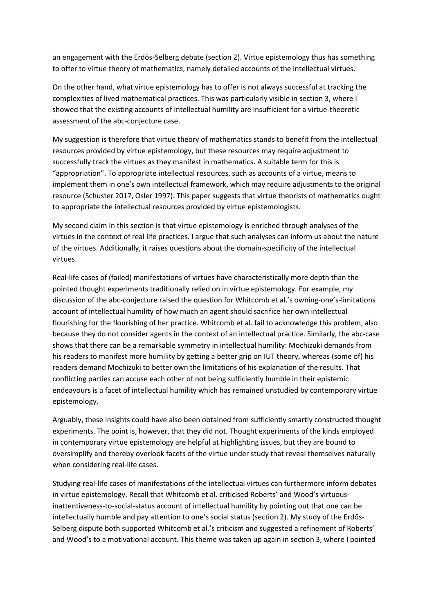an engagement with the Erdös-Selberg debate (section 2). Virtue epistemology thus has something to offer to virtue theory of mathematics, namely detailed accounts of the intellectual virtues.

On the other hand, what virtue epistemology has to offer is not always successful at tracking the complexities of lived mathematical practices. This was particularly visible in section 3, where I showed that the existing accounts of intellectual humility are insufficient for a virtue-theoretic assessment of the abc-conjecture case.

My suggestion is therefore that virtue theory of mathematics stands to benefit from the intellectual resources provided by virtue epistemology, but these resources may require adjustment to successfully track the virtues as they manifest in mathematics. A suitable term for this is "appropriation". To appropriate intellectual resources, such as accounts of a virtue, means to implement them in one's own intellectual framework, which may require adjustments to the original resource (Schuster 2017, Osler 1997). This paper suggests that virtue theorists of mathematics ought to appropriate the intellectual resources provided by virtue epistemologists.

My second claim in this section is that virtue epistemology is enriched through analyses of the virtues in the context of real life practices. I argue that such analyses can inform us about the nature of the virtues. Additionally, it raises questions about the domain-specificity of the intellectual virtues.

Real-life cases of (failed) manifestations of virtues have characteristically more depth than the pointed thought experiments traditionally relied on in virtue epistemology. For example, my discussion of the abc-conjecture raised the question for Whitcomb et al.'s owning-one's-limitations account of intellectual humility of how much an agent should sacrifice her own intellectual flourishing for the flourishing of her practice. Whitcomb et al. fail to acknowledge this problem, also because they do not consider agents in the context of an intellectual practice. Similarly, the abc-case shows that there can be a remarkable symmetry in intellectual humility: Mochizuki demands from his readers to manifest more humility by getting a better grip on IUT theory, whereas (some of) his readers demand Mochizuki to better own the limitations of his explanation of the results. That conflicting parties can accuse each other of not being sufficiently humble in their epistemic endeavours is a facet of intellectual humility which has remained unstudied by contemporary virtue epistemology.

Arguably, these insights could have also been obtained from sufficiently smartly constructed thought experiments. The point is, however, that they did not. Thought experiments of the kinds employed in contemporary virtue epistemology are helpful at highlighting issues, but they are bound to oversimplify and thereby overlook facets of the virtue under study that reveal themselves naturally when considering real-life cases.

Studying real-life cases of manifestations of the intellectual virtues can furthermore inform debates in virtue epistemology. Recall that Whitcomb et al. criticised Roberts' and Wood's virtuousinattentiveness-to-social-status account of intellectual humility by pointing out that one can be intellectually humble and pay attention to one's social status (section 2). My study of the Erdős-Selberg dispute both supported Whitcomb et al.'s criticism and suggested a refinement of Roberts' and Wood's to a motivational account. This theme was taken up again in section 3, where I pointed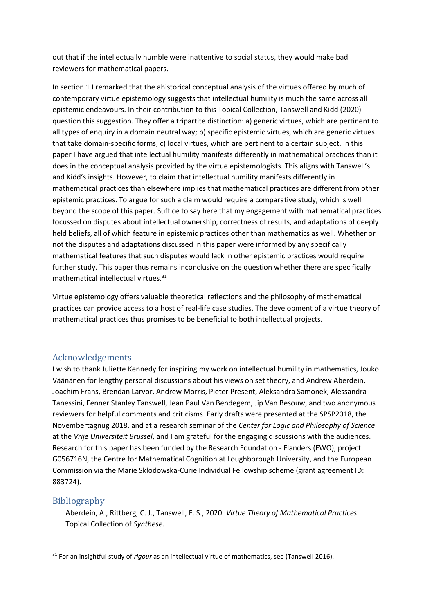out that if the intellectually humble were inattentive to social status, they would make bad reviewers for mathematical papers.

In section 1 I remarked that the ahistorical conceptual analysis of the virtues offered by much of contemporary virtue epistemology suggests that intellectual humility is much the same across all epistemic endeavours. In their contribution to this Topical Collection, Tanswell and Kidd (2020) question this suggestion. They offer a tripartite distinction: a) generic virtues, which are pertinent to all types of enquiry in a domain neutral way; b) specific epistemic virtues, which are generic virtues that take domain-specific forms; c) local virtues, which are pertinent to a certain subject. In this paper I have argued that intellectual humility manifests differently in mathematical practices than it does in the conceptual analysis provided by the virtue epistemologists. This aligns with Tanswell's and Kidd's insights. However, to claim that intellectual humility manifests differently in mathematical practices than elsewhere implies that mathematical practices are different from other epistemic practices. To argue for such a claim would require a comparative study, which is well beyond the scope of this paper. Suffice to say here that my engagement with mathematical practices focussed on disputes about intellectual ownership, correctness of results, and adaptations of deeply held beliefs, all of which feature in epistemic practices other than mathematics as well. Whether or not the disputes and adaptations discussed in this paper were informed by any specifically mathematical features that such disputes would lack in other epistemic practices would require further study. This paper thus remains inconclusive on the question whether there are specifically mathematical intellectual virtues.<sup>31</sup>

Virtue epistemology offers valuable theoretical reflections and the philosophy of mathematical practices can provide access to a host of real-life case studies. The development of a virtue theory of mathematical practices thus promises to be beneficial to both intellectual projects.

### Acknowledgements

I wish to thank Juliette Kennedy for inspiring my work on intellectual humility in mathematics, Jouko Väänänen for lengthy personal discussions about his views on set theory, and Andrew Aberdein, Joachim Frans, Brendan Larvor, Andrew Morris, Pieter Present, Aleksandra Samonek, Alessandra Tanessini, Fenner Stanley Tanswell, Jean Paul Van Bendegem, Jip Van Besouw, and two anonymous reviewers for helpful comments and criticisms. Early drafts were presented at the SPSP2018, the Novembertagnug 2018, and at a research seminar of the *Center for Logic and Philosophy of Science* at the *Vrije Universiteit Brussel*, and I am grateful for the engaging discussions with the audiences. Research for this paper has been funded by the Research Foundation - Flanders (FWO), project G056716N, the Centre for Mathematical Cognition at Loughborough University, and the European Commission via the Marie Skłodowska-Curie Individual Fellowship scheme (grant agreement ID: 883724).

### Bibliography

Aberdein, A., Rittberg, C. J., Tanswell, F. S., 2020. *Virtue Theory of Mathematical Practices*. Topical Collection of *Synthese*.

<sup>31</sup> For an insightful study of *rigour* as an intellectual virtue of mathematics, see (Tanswell 2016).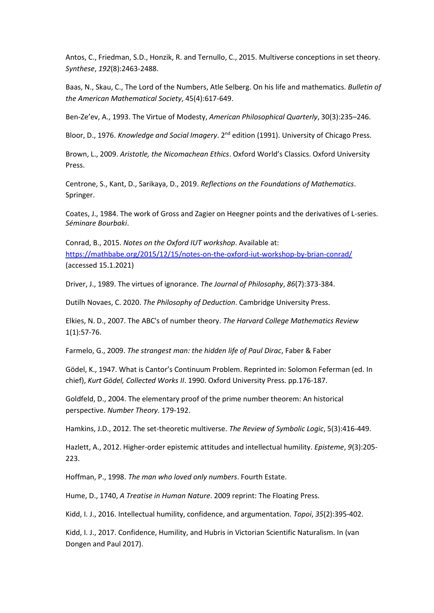Antos, C., Friedman, S.D., Honzik, R. and Ternullo, C., 2015. Multiverse conceptions in set theory. *Synthese*, *192*(8):2463-2488.

Baas, N., Skau, C., The Lord of the Numbers, Atle Selberg. On his life and mathematics. *Bulletin of the American Mathematical Society*, 45(4):617-649.

Ben-Ze'ev, A., 1993. The Virtue of Modesty, *American Philosophical Quarterly*, 30(3):235–246.

Bloor, D., 1976. *Knowledge and Social Imagery*. 2<sup>nd</sup> edition (1991). University of Chicago Press.

Brown, L., 2009. *Aristotle, the Nicomachean Ethics*. Oxford World's Classics. Oxford University Press.

Centrone, S., Kant, D., Sarikaya, D., 2019. *Reflections on the Foundations of Mathematics*. Springer.

Coates, J., 1984. The work of Gross and Zagier on Heegner points and the derivatives of L-series. *Séminare Bourbaki*.

Conrad, B., 2015. *Notes on the Oxford IUT workshop*. Available at: <https://mathbabe.org/2015/12/15/notes-on-the-oxford-iut-workshop-by-brian-conrad/> (accessed 15.1.2021)

Driver, J., 1989. The virtues of ignorance. *The Journal of Philosophy*, *86*(7):373-384.

Dutilh Novaes, C. 2020. *The Philosophy of Deduction*. Cambridge University Press.

Elkies, N. D., 2007. The ABC's of number theory. *The Harvard College Mathematics Review* 1(1):57-76.

Farmelo, G., 2009. *The strangest man: the hidden life of Paul Dirac*, Faber & Faber

Gödel, K., 1947. What is Cantor's Continuum Problem. Reprinted in: Solomon Feferman (ed. In chief), *Kurt Gödel, Collected Works II*. 1990. Oxford University Press. pp.176-187.

Goldfeld, D., 2004. The elementary proof of the prime number theorem: An historical perspective. *Number Theory*. 179-192.

Hamkins, J.D., 2012. The set-theoretic multiverse. *The Review of Symbolic Logic*, 5(3):416-449.

Hazlett, A., 2012. Higher-order epistemic attitudes and intellectual humility. *Episteme*, *9*(3):205- 223.

Hoffman, P., 1998. *The man who loved only numbers*. Fourth Estate.

Hume, D., 1740, *A Treatise in Human Nature*. 2009 reprint: The Floating Press.

Kidd, I. J., 2016. Intellectual humility, confidence, and argumentation. *Topoi*, *35*(2):395-402.

Kidd, I. J., 2017. Confidence, Humility, and Hubris in Victorian Scientific Naturalism. In (van Dongen and Paul 2017).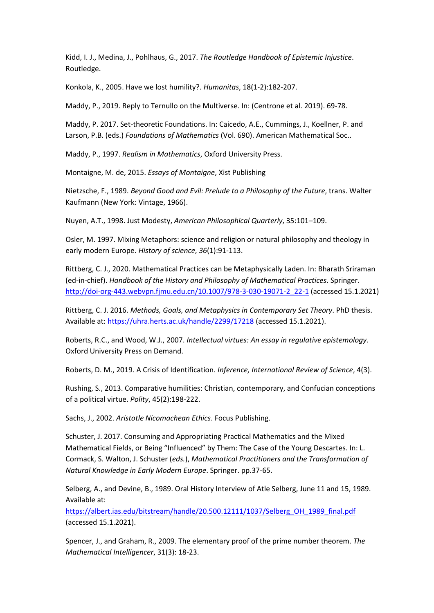Kidd, I. J., Medina, J., Pohlhaus, G., 2017. *The Routledge Handbook of Epistemic Injustice*. Routledge.

Konkola, K., 2005. Have we lost humility?. *Humanitas*, 18(1-2):182-207.

Maddy, P., 2019. Reply to Ternullo on the Multiverse. In: (Centrone et al. 2019). 69-78.

Maddy, P. 2017. Set-theoretic Foundations. In: Caicedo, A.E., Cummings, J., Koellner, P. and Larson, P.B. (eds.) *Foundations of Mathematics* (Vol. 690). American Mathematical Soc..

Maddy, P., 1997. *Realism in Mathematics*, Oxford University Press.

Montaigne, M. de, 2015. *Essays of Montaigne*, Xist Publishing

Nietzsche, F., 1989. *Beyond Good and Evil: Prelude to a Philosophy of the Future*, trans. Walter Kaufmann (New York: Vintage, 1966).

Nuyen, A.T., 1998. Just Modesty, *American Philosophical Quarterly*, 35:101–109.

Osler, M. 1997. Mixing Metaphors: science and religion or natural philosophy and theology in early modern Europe. *History of science*, *36*(1):91-113.

Rittberg, C. J., 2020. Mathematical Practices can be Metaphysically Laden. In: Bharath Sriraman (ed-in-chief). *Handbook of the History and Philosophy of Mathematical Practices*. Springer. [http://doi-org-443.webvpn.fjmu.edu.cn/10.1007/978-3-030-19071-2\\_22-1](http://doi-org-443.webvpn.fjmu.edu.cn/10.1007/978-3-030-19071-2_22-1) (accessed 15.1.2021)

Rittberg, C. J. 2016. *Methods, Goals, and Metaphysics in Contemporary Set Theory*. PhD thesis. Available at[: https://uhra.herts.ac.uk/handle/2299/17218](https://uhra.herts.ac.uk/handle/2299/17218) (accessed 15.1.2021).

Roberts, R.C., and Wood, W.J., 2007. *Intellectual virtues: An essay in regulative epistemology*. Oxford University Press on Demand.

Roberts, D. M., 2019. A Crisis of Identification. *Inference, International Review of Science*, 4(3).

Rushing, S., 2013. Comparative humilities: Christian, contemporary, and Confucian conceptions of a political virtue. *Polity*, 45(2):198-222.

Sachs, J., 2002. *Aristotle Nicomachean Ethics*. Focus Publishing.

Schuster, J. 2017. Consuming and Appropriating Practical Mathematics and the Mixed Mathematical Fields, or Being "Influenced" by Them: The Case of the Young Descartes. In: L. Cormack, S. Walton, J. Schuster (*eds.*), *Mathematical Practitioners and the Transformation of Natural Knowledge in Early Modern Europe*. Springer. pp.37-65.

Selberg, A., and Devine, B., 1989. Oral History Interview of Atle Selberg, June 11 and 15, 1989. Available at:

[https://albert.ias.edu/bitstream/handle/20.500.12111/1037/Selberg\\_OH\\_1989\\_final.pdf](https://albert.ias.edu/bitstream/handle/20.500.12111/1037/Selberg_OH_1989_final.pdf) (accessed 15.1.2021).

Spencer, J., and Graham, R., 2009. The elementary proof of the prime number theorem. *The Mathematical Intelligencer*, 31(3): 18-23.